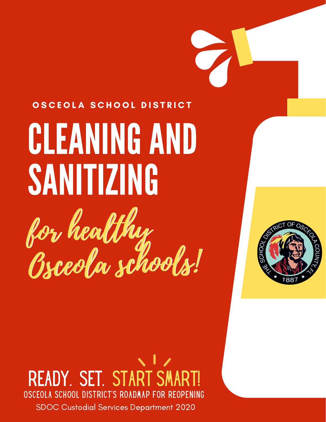# OSCEOLA SCHOOL DISTRICT

# **CLEANING AND** SANITIZING for healthy Osceola schools! for healthy Osceola schools!



# READY. SET. START SM OSCEOLA SCHOOL DISTRICT'S ROADMAP FOR R SDOC Custodial Services Department 2020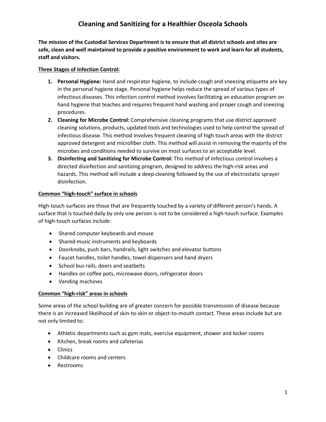**The mission of the Custodial Services Department is to ensure that all district schools and sites are safe, clean and well maintained to provide a positive environment to work and learn for all students, staff and visitors.** 

#### **Three Stages of Infection Control:**

- **1. Personal Hygiene:** Hand and respirator hygiene, to include cough and sneezing etiquette are key in the personal hygiene stage. Personal hygiene helps reduce the spread of various types of infectious diseases. This infection control method involves facilitating an education program on hand hygiene that teaches and requires frequent hand washing and proper cough and sneezing procedures.
- **2. Cleaning for Microbe Control:** Comprehensive cleaning programs that use district approved cleaning solutions, products, updated tools and technologies used to help control the spread of infectious disease. This method involves frequent cleaning of high touch areas with the district approved detergent and microfiber cloth. This method will assist in removing the majority of the microbes and conditions needed to survive on most surfaces to an acceptable level.
- **3. Disinfecting and Sanitizing for Microbe Control:** This method of infectious control involves a directed disinfection and sanitizing program, designed to address the high-risk areas and hazards. This method will include a deep cleaning followed by the use of electrostatic sprayer disinfection.

#### **Common "high-touch" surface in schools**

High-touch surfaces are those that are frequently touched by a variety of different person's hands. A surface that is touched daily by only one person is not to be considered a high-touch surface. Examples of high-touch surfaces include:

- Shared computer keyboards and mouse
- Shared music instruments and keyboards
- Doorknobs, push bars, handrails, light switches and elevator buttons
- Faucet handles, toilet handles, towel dispensers and hand dryers
- School bus rails, doors and seatbelts
- Handles on coffee pots, microwave doors, refrigerator doors
- Vending machines

#### **Common "high-risk" areas in schools**

Some areas of the school building are of greater concern for possible transmission of disease because there is an increased likelihood of skin-to-skin or object-to-mouth contact. These areas include but are not only limited to:

- Athletic departments such as gym mats, exercise equipment, shower and locker rooms
- Kitchen, break rooms and cafeterias
- Clinics
- Childcare rooms and centers
- Restrooms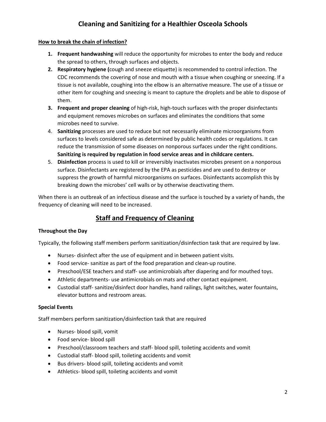#### **How to break the chain of infection?**

- **1. Frequent handwashing** will reduce the opportunity for microbes to enter the body and reduce the spread to others, through surfaces and objects.
- **2. Respiratory hygiene (**cough and sneeze etiquette) is recommended to control infection. The CDC recommends the covering of nose and mouth with a tissue when coughing or sneezing. If a tissue is not available, coughing into the elbow is an alternative measure. The use of a tissue or other item for coughing and sneezing is meant to capture the droplets and be able to dispose of them.
- **3. Frequent and proper cleaning** of high-risk, high-touch surfaces with the proper disinfectants and equipment removes microbes on surfaces and eliminates the conditions that some microbes need to survive.
- 4. **Sanitizing** processes are used to reduce but not necessarily eliminate microorganisms from surfaces to levels considered safe as determined by public health codes or regulations. It can reduce the transmission of some diseases on nonporous surfaces under the right conditions. **Sanitizing is required by regulation in food service areas and in childcare centers.**
- 5. **Disinfection** process is used to kill or irreversibly inactivates microbes present on a nonporous surface. Disinfectants are registered by the EPA as pesticides and are used to destroy or suppress the growth of harmful microorganisms on surfaces. Disinfectants accomplish this by breaking down the microbes' cell walls or by otherwise deactivating them.

When there is an outbreak of an infectious disease and the surface is touched by a variety of hands, the frequency of cleaning will need to be increased.

### **Staff and Frequency of Cleaning**

#### **Throughout the Day**

Typically, the following staff members perform sanitization/disinfection task that are required by law.

- Nurses- disinfect after the use of equipment and in between patient visits.
- Food service- sanitize as part of the food preparation and clean-up routine.
- Preschool/ESE teachers and staff- use antimicrobials after diapering and for mouthed toys.
- Athletic departments- use antimicrobials on mats and other contact equipment.
- Custodial staff- sanitize/disinfect door handles, hand railings, light switches, water fountains, elevator buttons and restroom areas.

#### **Special Events**

Staff members perform sanitization/disinfection task that are required

- Nurses- blood spill, vomit
- Food service- blood spill
- Preschool/classroom teachers and staff- blood spill, toileting accidents and vomit
- Custodial staff- blood spill, toileting accidents and vomit
- Bus drivers- blood spill, toileting accidents and vomit
- Athletics- blood spill, toileting accidents and vomit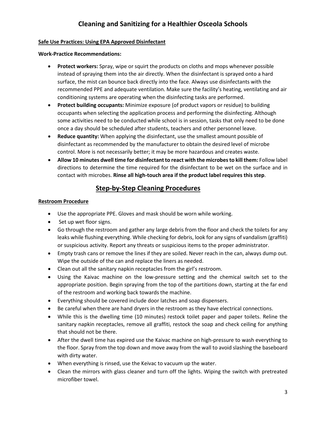#### **Safe Use Practices: Using EPA Approved Disinfectant**

**Work-Practice Recommendations:**

- **Protect workers:** Spray, wipe or squirt the products on cloths and mops whenever possible instead of spraying them into the air directly. When the disinfectant is sprayed onto a hard surface, the mist can bounce back directly into the face. Always use disinfectants with the recommended PPE and adequate ventilation. Make sure the facility's heating, ventilating and air conditioning systems are operating when the disinfecting tasks are performed.
- **Protect building occupants:** Minimize exposure (of product vapors or residue) to building occupants when selecting the application process and performing the disinfecting. Although some activities need to be conducted while school is in session, tasks that only need to be done once a day should be scheduled after students, teachers and other personnel leave.
- **Reduce quantity:** When applying the disinfectant, use the smallest amount possible of disinfectant as recommended by the manufacturer to obtain the desired level of microbe control. More is not necessarily better; it may be more hazardous and creates waste.
- **Allow 10 minutes dwell time for disinfectant to react with the microbes to kill them:** Follow label directions to determine the time required for the disinfectant to be wet on the surface and in contact with microbes. **Rinse all high-touch area if the product label requires this step**.

## **Step-by-Step Cleaning Procedures**

#### **Restroom Procedure**

- Use the appropriate PPE. Gloves and mask should be worn while working.
- Set up wet floor signs.
- Go through the restroom and gather any large debris from the floor and check the toilets for any leaks while flushing everything. While checking for debris, look for any signs of vandalism (graffiti) or suspicious activity. Report any threats or suspicious items to the proper administrator.
- Empty trash cans or remove the lines if they are soiled. Never reach in the can, always dump out. Wipe the outside of the can and replace the liners as needed.
- Clean out all the sanitary napkin receptacles from the girl's restroom.
- Using the Kaivac machine on the low-pressure setting and the chemical switch set to the appropriate position. Begin spraying from the top of the partitions down, starting at the far end of the restroom and working back towards the machine.
- Everything should be covered include door latches and soap dispensers.
- Be careful when there are hand dryers in the restroom as they have electrical connections.
- While this is the dwelling time (10 minutes) restock toilet paper and paper toilets. Reline the sanitary napkin receptacles, remove all graffiti, restock the soap and check ceiling for anything that should not be there.
- After the dwell time has expired use the Kaivac machine on high-pressure to wash everything to the floor. Spray from the top down and move away from the wall to avoid slashing the baseboard with dirty water.
- When everything is rinsed, use the Keivac to vacuum up the water.
- Clean the mirrors with glass cleaner and turn off the lights. Wiping the switch with pretreated microfiber towel.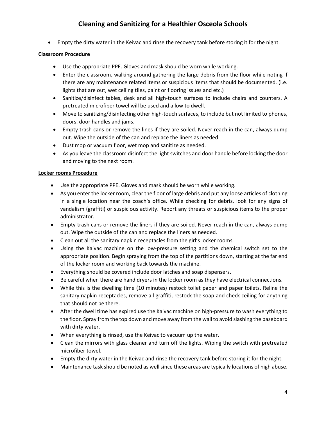• Empty the dirty water in the Keivac and rinse the recovery tank before storing it for the night.

#### **Classroom Procedure**

- Use the appropriate PPE. Gloves and mask should be worn while working.
- Enter the classroom, walking around gathering the large debris from the floor while noting if there are any maintenance related items or suspicious items that should be documented. (i.e. lights that are out, wet ceiling tiles, paint or flooring issues and etc.)
- Sanitize/disinfect tables, desk and all high-touch surfaces to include chairs and counters. A pretreated microfiber towel will be used and allow to dwell.
- Move to sanitizing/disinfecting other high-touch surfaces, to include but not limited to phones, doors, door handles and jams.
- Empty trash cans or remove the lines if they are soiled. Never reach in the can, always dump out. Wipe the outside of the can and replace the liners as needed.
- Dust mop or vacuum floor, wet mop and sanitize as needed.
- As you leave the classroom disinfect the light switches and door handle before locking the door and moving to the next room.

#### **Locker rooms Procedure**

- Use the appropriate PPE. Gloves and mask should be worn while working.
- As you enter the locker room, clear the floor of large debris and put any loose articles of clothing in a single location near the coach's office. While checking for debris, look for any signs of vandalism (graffiti) or suspicious activity. Report any threats or suspicious items to the proper administrator.
- Empty trash cans or remove the liners if they are soiled. Never reach in the can, always dump out. Wipe the outside of the can and replace the liners as needed.
- Clean out all the sanitary napkin receptacles from the girl's locker rooms.
- Using the Kaivac machine on the low-pressure setting and the chemical switch set to the appropriate position. Begin spraying from the top of the partitions down, starting at the far end of the locker room and working back towards the machine.
- Everything should be covered include door latches and soap dispensers.
- Be careful when there are hand dryers in the locker room as they have electrical connections.
- While this is the dwelling time (10 minutes) restock toilet paper and paper toilets. Reline the sanitary napkin receptacles, remove all graffiti, restock the soap and check ceiling for anything that should not be there.
- After the dwell time has expired use the Kaivac machine on high-pressure to wash everything to the floor. Spray from the top down and move away from the wall to avoid slashing the baseboard with dirty water.
- When everything is rinsed, use the Keivac to vacuum up the water.
- Clean the mirrors with glass cleaner and turn off the lights. Wiping the switch with pretreated microfiber towel.
- Empty the dirty water in the Keivac and rinse the recovery tank before storing it for the night.
- Maintenance task should be noted as well since these areas are typically locations of high abuse.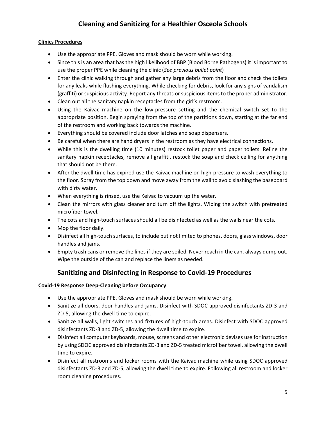#### **Clinics Procedures**

- Use the appropriate PPE. Gloves and mask should be worn while working.
- Since this is an area that has the high likelihood of BBP (Blood Borne Pathogens) it is important to use the proper PPE while cleaning the clinic (*See previous bullet point*)
- Enter the clinic walking through and gather any large debris from the floor and check the toilets for any leaks while flushing everything. While checking for debris, look for any signs of vandalism (graffiti) or suspicious activity. Report any threats or suspicious items to the proper administrator.
- Clean out all the sanitary napkin receptacles from the girl's restroom.
- Using the Kaivac machine on the low-pressure setting and the chemical switch set to the appropriate position. Begin spraying from the top of the partitions down, starting at the far end of the restroom and working back towards the machine.
- Everything should be covered include door latches and soap dispensers.
- Be careful when there are hand dryers in the restroom as they have electrical connections.
- While this is the dwelling time (10 minutes) restock toilet paper and paper toilets. Reline the sanitary napkin receptacles, remove all graffiti, restock the soap and check ceiling for anything that should not be there.
- After the dwell time has expired use the Kaivac machine on high-pressure to wash everything to the floor. Spray from the top down and move away from the wall to avoid slashing the baseboard with dirty water.
- When everything is rinsed, use the Keivac to vacuum up the water.
- Clean the mirrors with glass cleaner and turn off the lights. Wiping the switch with pretreated microfiber towel.
- The cots and high-touch surfaces should all be disinfected as well as the walls near the cots.
- Mop the floor daily.
- Disinfect all high-touch surfaces, to include but not limited to phones, doors, glass windows, door handles and jams.
- Empty trash cans or remove the lines if they are soiled. Never reach in the can, always dump out. Wipe the outside of the can and replace the liners as needed.

#### **Sanitizing and Disinfecting in Response to Covid-19 Procedures**

#### **Covid-19 Response Deep-Cleaning before Occupancy**

- Use the appropriate PPE. Gloves and mask should be worn while working.
- Sanitize all doors, door handles and jams. Disinfect with SDOC approved disinfectants ZD-3 and ZD-5, allowing the dwell time to expire.
- Sanitize all walls, light switches and fixtures of high-touch areas. Disinfect with SDOC approved disinfectants ZD-3 and ZD-5, allowing the dwell time to expire.
- Disinfect all computer keyboards, mouse, screens and other electronic devises use for instruction by using SDOC approved disinfectants ZD-3 and ZD-5 treated microfiber towel, allowing the dwell time to expire.
- Disinfect all restrooms and locker rooms with the Kaivac machine while using SDOC approved disinfectants ZD-3 and ZD-5, allowing the dwell time to expire. Following all restroom and locker room cleaning procedures.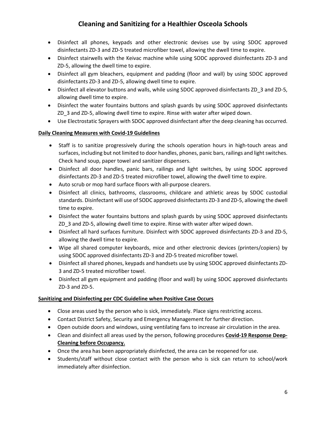- Disinfect all phones, keypads and other electronic devises use by using SDOC approved disinfectants ZD-3 and ZD-5 treated microfiber towel, allowing the dwell time to expire.
- Disinfect stairwells with the Keivac machine while using SODC approved disinfectants ZD-3 and ZD-5, allowing the dwell time to expire.
- Disinfect all gym bleachers, equipment and padding (floor and wall) by using SDOC approved disinfectants ZD-3 and ZD-5, allowing dwell time to expire.
- Disinfect all elevator buttons and walls, while using SDOC approved disinfectants ZD\_3 and ZD-5, allowing dwell time to expire.
- Disinfect the water fountains buttons and splash guards by using SDOC approved disinfectants ZD\_3 and ZD-5, allowing dwell time to expire. Rinse with water after wiped down.
- Use Electrostatic Sprayers with SDOC approved disinfectant after the deep cleaning has occurred.

#### **Daily Cleaning Measures with Covid-19 Guidelines**

- Staff is to sanitize progressively during the schools operation hours in high-touch areas and surfaces, including but not limited to door handles, phones, panic bars, railings and light switches. Check hand soup, paper towel and sanitizer dispensers.
- Disinfect all door handles, panic bars, railings and light switches, by using SDOC approved disinfectants ZD-3 and ZD-5 treated microfiber towel, allowing the dwell time to expire.
- Auto scrub or mop hard surface floors with all-purpose clearers.
- Disinfect all clinics, bathrooms, classrooms, childcare and athletic areas by SDOC custodial standards. Disinfectant will use of SODC approved disinfectants ZD-3 and ZD-5, allowing the dwell time to expire.
- Disinfect the water fountains buttons and splash guards by using SDOC approved disinfectants ZD\_3 and ZD-5, allowing dwell time to expire. Rinse with water after wiped down.
- Disinfect all hard surfaces furniture. Disinfect with SDOC approved disinfectants ZD-3 and ZD-5, allowing the dwell time to expire.
- Wipe all shared computer keyboards, mice and other electronic devices (printers/copiers) by using SDOC approved disinfectants ZD-3 and ZD-5 treated microfiber towel.
- Disinfect all shared phones, keypads and handsets use by using SDOC approved disinfectants ZD-3 and ZD-5 treated microfiber towel.
- Disinfect all gym equipment and padding (floor and wall) by using SDOC approved disinfectants ZD-3 and ZD-5.

#### **Sanitizing and Disinfecting per CDC Guideline when Positive Case Occurs**

- Close areas used by the person who is sick, immediately. Place signs restricting access.
- Contact District Safety, Security and Emergency Management for further direction.
- Open outside doors and windows, using ventilating fans to increase air circulation in the area.
- Clean and disinfect all areas used by the person, following procedures **Covid-19 Response Deep-Cleaning before Occupancy.**
- Once the area has been appropriately disinfected, the area can be reopened for use.
- Students/staff without close contact with the person who is sick can return to school/work immediately after disinfection.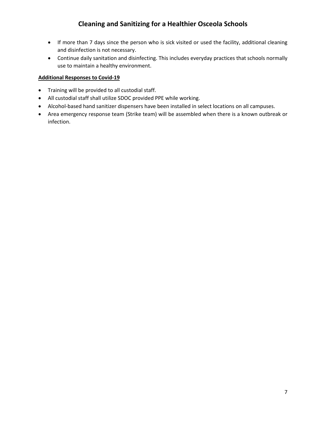- If more than 7 days since the person who is sick visited or used the facility, additional cleaning and disinfection is not necessary.
- Continue daily sanitation and disinfecting. This includes everyday practices that schools normally use to maintain a healthy environment.

#### **Additional Responses to Covid-19**

- Training will be provided to all custodial staff.
- All custodial staff shall utilize SDOC provided PPE while working.
- Alcohol-based hand sanitizer dispensers have been installed in select locations on all campuses.
- Area emergency response team (Strike team) will be assembled when there is a known outbreak or infection.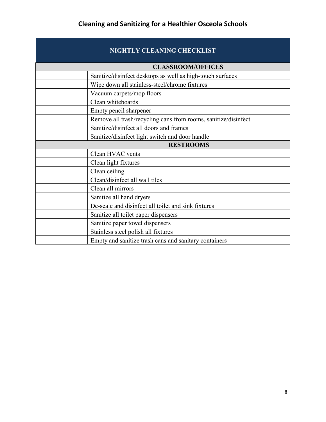# **NIGHTLY CLEANING CHECKLIST**

|                  | <b>CLASSROOM/OFFICES</b>                                       |
|------------------|----------------------------------------------------------------|
|                  | Sanitize/disinfect desktops as well as high-touch surfaces     |
|                  | Wipe down all stainless-steel/chrome fixtures                  |
|                  | Vacuum carpets/mop floors                                      |
|                  | Clean whiteboards                                              |
|                  | Empty pencil sharpener                                         |
|                  | Remove all trash/recycling cans from rooms, sanitize/disinfect |
|                  | Sanitize/disinfect all doors and frames                        |
|                  | Sanitize/disinfect light switch and door handle                |
| <b>RESTROOMS</b> |                                                                |
|                  | Clean HVAC vents                                               |
|                  | Clean light fixtures                                           |
|                  | Clean ceiling                                                  |
|                  | Clean/disinfect all wall tiles                                 |
|                  | Clean all mirrors                                              |
|                  | Sanitize all hand dryers                                       |
|                  | De-scale and disinfect all toilet and sink fixtures            |
|                  | Sanitize all toilet paper dispensers                           |
|                  | Sanitize paper towel dispensers                                |
|                  | Stainless steel polish all fixtures                            |
|                  | Empty and sanitize trash cans and sanitary containers          |